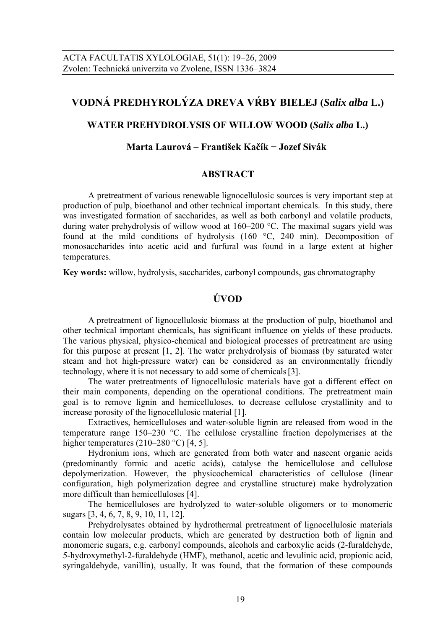# **VODNÁ PREDHYROLÝZA DREVA VŔBY BIELEJ (***Salix alba* **L.)**

## **WATER PREHYDROLYSIS OF WILLOW WOOD (***Salix alba* **L.)**

## **Marta Laurová – František Kačík − Jozef Sivák**

## **ABSTRACT**

A pretreatment of various renewable lignocellulosic sources is very important step at production of pulp, bioethanol and other technical important chemicals. In this study, there was investigated formation of saccharides, as well as both carbonyl and volatile products, during water prehydrolysis of willow wood at 160–200 °C. The maximal sugars yield was found at the mild conditions of hydrolysis (160 °C, 240 min). Decomposition of monosaccharides into acetic acid and furfural was found in a large extent at higher temperatures.

**Key words:** willow, hydrolysis, saccharides, carbonyl compounds, gas chromatography

## **ÚVOD**

A pretreatment of lignocellulosic biomass at the production of pulp, bioethanol and other technical important chemicals, has significant influence on yields of these products. The various physical, physico-chemical and biological processes of pretreatment are using for this purpose at present [1, 2]. The water prehydrolysis of biomass (by saturated water steam and hot high-pressure water) can be considered as an environmentally friendly technology, where it is not necessary to add some of chemicals[3].

The water pretreatments of lignocellulosic materials have got a different effect on their main components, depending on the operational conditions. The pretreatment main goal is to remove lignin and hemicelluloses, to decrease cellulose crystallinity and to increase porosity of the lignocellulosic material [1].

Extractives, hemicelluloses and water-soluble lignin are released from wood in the temperature range 150–230 °C. The cellulose crystalline fraction depolymerises at the higher temperatures (210–280 °C) [4, 5].

Hydronium ions, which are generated from both water and nascent organic acids (predominantly formic and acetic acids), catalyse the hemicellulose and cellulose depolymerization. However, the physicochemical characteristics of cellulose (linear configuration, high polymerization degree and crystalline structure) make hydrolyzation more difficult than hemicelluloses [4].

The hemicelluloses are hydrolyzed to water-soluble oligomers or to monomeric sugars [3, 4, 6, 7, 8, 9, 10, 11, 12].

Prehydrolysates obtained by hydrothermal pretreatment of lignocellulosic materials contain low molecular products, which are generated by destruction both of lignin and monomeric sugars, e.g. carbonyl compounds, alcohols and carboxylic acids (2-furaldehyde, 5-hydroxymethyl-2-furaldehyde (HMF), methanol, acetic and levulinic acid, propionic acid, syringaldehyde, vanillin), usually. It was found, that the formation of these compounds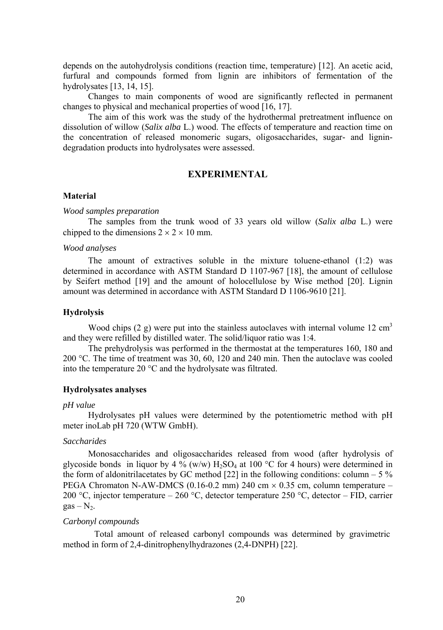depends on the autohydrolysis conditions (reaction time, temperature) [12]. An acetic acid, furfural and compounds formed from lignin are inhibitors of fermentation of the hydrolysates [13, 14, 15].

Changes to main components of wood are significantly reflected in permanent changes to physical and mechanical properties of wood [16, 17].

The aim of this work was the study of the hydrothermal pretreatment influence on dissolution of willow (*Salix alba* L.) wood. The effects of temperature and reaction time on the concentration of released monomeric sugars, oligosaccharides, sugar- and lignindegradation products into hydrolysates were assessed.

## **EXPERIMENTAL**

#### **Material**

#### *Wood samples preparation*

The samples from the trunk wood of 33 years old willow (*Salix alba* L.) were chipped to the dimensions  $2 \times 2 \times 10$  mm.

#### *Wood analyses*

The amount of extractives soluble in the mixture toluene-ethanol (1:2) was determined in accordance with ASTM Standard D 1107-967 [18], the amount of cellulose by Seifert method [19] and the amount of holocellulose by Wise method [20]. Lignin amount was determined in accordance with ASTM Standard D 1106-9610 [21].

#### **Hydrolysis**

Wood chips  $(2 g)$  were put into the stainless autoclaves with internal volume 12 cm<sup>3</sup> and they were refilled by distilled water. The solid/liquor ratio was 1:4.

The prehydrolysis was performed in the thermostat at the temperatures 160, 180 and 200 °C. The time of treatment was 30, 60, 120 and 240 min. Then the autoclave was cooled into the temperature 20 °C and the hydrolysate was filtrated.

#### **Hydrolysates analyses**

#### *pH value*

Hydrolysates pH values were determined by the potentiometric method with pH meter inoLab pH 720 (WTW GmbH).

#### *Saccharides*

Monosaccharides and oligosaccharides released from wood (after hydrolysis of glycoside bonds in liquor by 4 % (w/w)  $H_2SO_4$  at 100 °C for 4 hours) were determined in the form of aldonitrilacetates by GC method  $[22]$  in the following conditions: column – 5 % PEGA Chromaton N-AW-DMCS (0.16-0.2 mm) 240 cm  $\times$  0.35 cm, column temperature – 200 °C, injector temperature – 260 °C, detector temperature 250 °C, detector – FID, carrier  $gas - N<sub>2</sub>$ .

#### *Carbonyl compounds*

Total amount of released carbonyl compounds was determined by gravimetric method in form of 2,4-dinitrophenylhydrazones (2,4-DNPH) [22].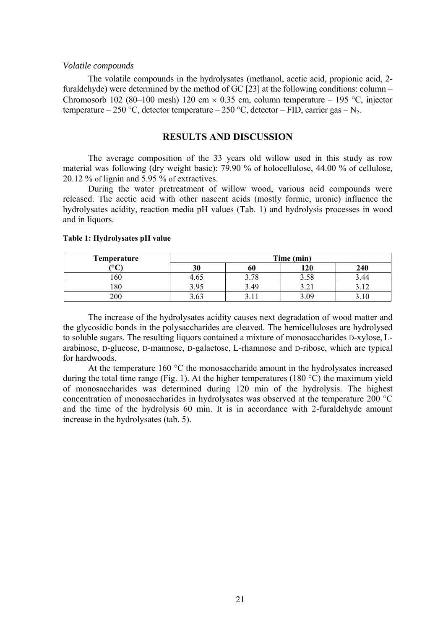#### *Volatile compounds*

The volatile compounds in the hydrolysates (methanol, acetic acid, propionic acid, 2 furaldehyde) were determined by the method of GC [23] at the following conditions: column – Chromosorb 102 (80–100 mesh) 120 cm  $\times$  0.35 cm, column temperature – 195 °C, injector temperature – 250 °C, detector temperature – 250 °C, detector – FID, carrier gas – N<sub>2</sub>.

### **RESULTS AND DISCUSSION**

The average composition of the 33 years old willow used in this study as row material was following (dry weight basic): 79.90 % of holocellulose, 44.00 % of cellulose, 20.12 % of lignin and 5.95 % of extractives.

During the water pretreatment of willow wood, various acid compounds were released. The acetic acid with other nascent acids (mostly formic, uronic) influence the hydrolysates acidity, reaction media pH values (Tab. 1) and hydrolysis processes in wood and in liquors.

| Temperature   | Time (min) |    |        |     |
|---------------|------------|----|--------|-----|
| $\Omega$<br>◡ | 30         | ou | 120    | 240 |
| .60           | 4.63       | 70 | cο     |     |
| .80           | $\Omega$   | 4¢ | ہ سے ر |     |
| 200           | . 63       |    | 5.09   |     |

#### **Table 1: Hydrolysates pH value**

The increase of the hydrolysates acidity causes next degradation of wood matter and the glycosidic bonds in the polysaccharides are cleaved. The hemicelluloses are hydrolysed to soluble sugars. The resulting liquors contained a mixture of monosaccharides D-xylose, Larabinose, D-glucose, D-mannose, D-galactose, L-rhamnose and D-ribose, which are typical for hardwoods.

At the temperature 160  $^{\circ}$ C the monosaccharide amount in the hydrolysates increased during the total time range (Fig. 1). At the higher temperatures (180  $^{\circ}$ C) the maximum yield of monosaccharides was determined during 120 min of the hydrolysis. The highest concentration of monosaccharides in hydrolysates was observed at the temperature 200 °C and the time of the hydrolysis 60 min. It is in accordance with 2-furaldehyde amount increase in the hydrolysates (tab. 5).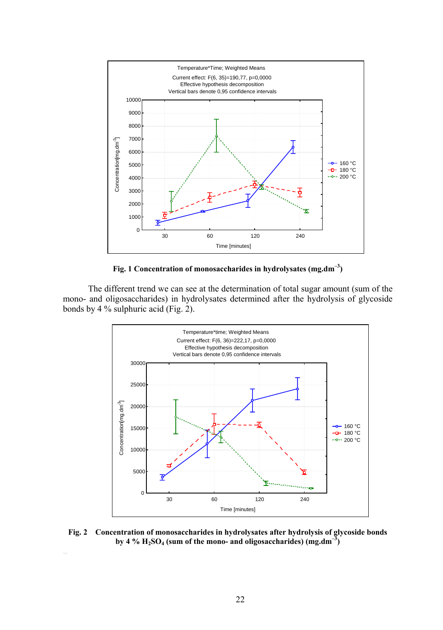

**Fig. 1 Concentration of monosaccharides in hydrolysates (mg.dm–3)** 

The different trend we can see at the determination of total sugar amount (sum of the mono- and oligosaccharides) in hydrolysates determined after the hydrolysis of glycoside bonds by 4 % sulphuric acid (Fig. 2).



**Fig. 2 Concentration of monosaccharides in hydrolysates after hydrolysis of glycoside bonds**  by 4 %  $H_2SO_4$  (sum of the mono- and oligosaccharides)  $(mg.dm^{-3})$ 

..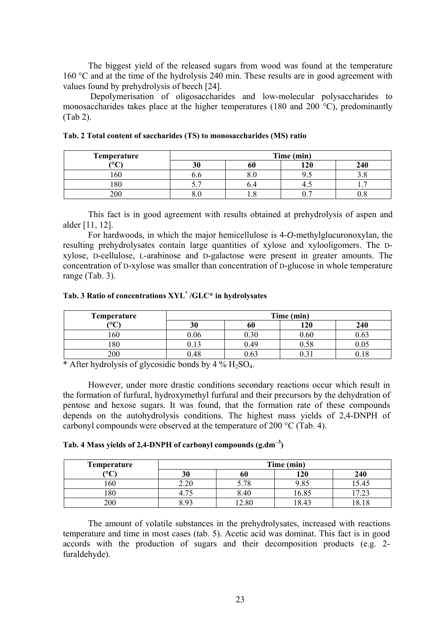The biggest yield of the released sugars from wood was found at the temperature 160 °C and at the time of the hydrolysis 240 min. These results are in good agreement with values found by prehydrolysis of beech [24].

 Depolymerisation of oligosaccharides and low-molecular polysaccharides to monosaccharides takes place at the higher temperatures (180 and 200 $\degree$ C), predominantly (Tab 2).

| Temperature     | Time (min) |  |     |     |
|-----------------|------------|--|-----|-----|
| $\Omega$<br>∼   | 20<br>IJι  |  | 190 | 240 |
| 60              |            |  |     |     |
| $\Omega$<br>ιŏυ | J .        |  | т.⊾ | . . |
| 200             |            |  |     |     |

This fact is in good agreement with results obtained at prehydrolysis of aspen and alder [11, 12].

For hardwoods, in which the major hemicellulose is 4-*O*-methylglucuronoxylan, the resulting prehydrolysates contain large quantities of xylose and xylooligomers. The Dxylose, D-cellulose, L-arabinose and D-galactose were present in greater amounts. The concentration of D-xylose was smaller than concentration of D-glucose in whole temperature range (Tab. 3).

#### **Tab. 3 Ratio of concentrations XYL\* /GLC\* in hydrolysates**

| Temperature | Time (min)               |      |      |          |
|-------------|--------------------------|------|------|----------|
| (0)         | 30                       | оu   | l 20 | 240      |
| .60         | 1.06                     | 0.30 | 0.60 | 0.63     |
| 80          | 1 <sub>2</sub><br>U. I 5 | 0.49 |      | $0.05\,$ |
| 200         | 1.48                     | 0.63 |      |          |

\* After hydrolysis of glycosidic bonds by  $4\%$  H<sub>2</sub>SO<sub>4</sub>.

However, under more drastic conditions secondary reactions occur which result in the formation of furfural, hydroxymethyl furfural and their precursors by the dehydration of pentose and hexose sugars. It was found, that the formation rate of these compounds depends on the autohydrolysis conditions. The highest mass yields of 2,4-DNPH of carbonyl compounds were observed at the temperature of 200 °C (Tab. 4).

| <b>Temperature</b> | Time (min) |      |       |       |
|--------------------|------------|------|-------|-------|
| (°C                | 30         | 60   | 120   | 240   |
| 160                | 2.20       | 5.78 | 9.85  | 15.45 |
| 180                |            | 3.40 | 16.85 | ر ۱.۷ |
| 200                | २ ०२       | 2.80 | 18.43 | 18.18 |

The amount of volatile substances in the prehydrolysates, increased with reactions temperature and time in most cases (tab. 5). Acetic acid was dominat. This fact is in good accords with the production of sugars and their decomposition products (e.g. 2 furaldehyde).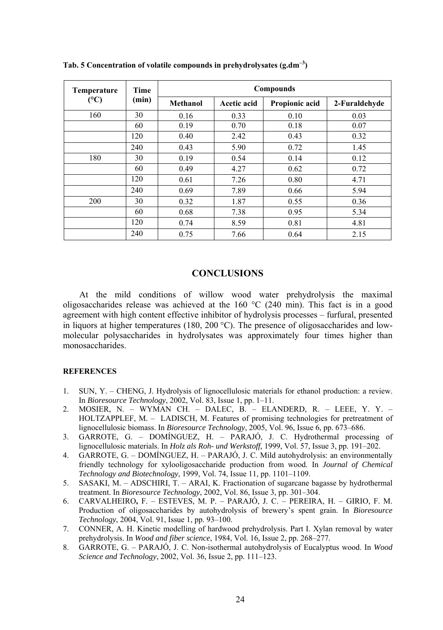| Temperature<br>(C) | Time  | Compounds |             |                |               |
|--------------------|-------|-----------|-------------|----------------|---------------|
|                    | (min) | Methanol  | Acetic acid | Propionic acid | 2-Furaldehyde |
| 160                | 30    | 0.16      | 0.33        | 0.10           | 0.03          |
|                    | 60    | 0.19      | 0.70        | 0.18           | 0.07          |
|                    | 120   | 0.40      | 2.42        | 0.43           | 0.32          |
|                    | 240   | 0.43      | 5.90        | 0.72           | 1.45          |
| 180                | 30    | 0.19      | 0.54        | 0.14           | 0.12          |
|                    | 60    | 0.49      | 4.27        | 0.62           | 0.72          |
|                    | 120   | 0.61      | 7.26        | 0.80           | 4.71          |
|                    | 240   | 0.69      | 7.89        | 0.66           | 5.94          |
| 200                | 30    | 0.32      | 1.87        | 0.55           | 0.36          |
|                    | 60    | 0.68      | 7.38        | 0.95           | 5.34          |
|                    | 120   | 0.74      | 8.59        | 0.81           | 4.81          |
|                    | 240   | 0.75      | 7.66        | 0.64           | 2.15          |

**Tab. 5 Concentration of volatile compounds in prehydrolysates (g.dm–3)** 

## **CONCLUSIONS**

At the mild conditions of willow wood water prehydrolysis the maximal oligosaccharides release was achieved at the 160  $\degree$ C (240 min). This fact is in a good agreement with high content effective inhibitor of hydrolysis processes – furfural, presented in liquors at higher temperatures (180, 200 °C). The presence of oligosaccharides and lowmolecular polysaccharides in hydrolysates was approximately four times higher than monosaccharides.

#### **REFERENCES**

- 1. SUN, Y. CHENG, J. Hydrolysis of lignocellulosic materials for ethanol production: a review. In *Bioresource Technology*, 2002, Vol. 83, Issue 1, pp. 1–11.
- 2. MOSIER, N. WYMAN CH. DALEC, B. ELANDERD, R. LEEE, Y. Y. HOLTZAPPLEF, M. – LADISCH, M. Features of promising technologies for pretreatment of lignocellulosic biomass. In *Bioresource Technology*, 2005, Vol. 96, Issue 6, pp. 673–686.
- 3. GARROTE, G. DOMÍNGUEZ, H. PARAJÓ, J. C. Hydrothermal processing of lignocellulosic materials. In *Holz als Roh- und Werkstoff*, 1999, Vol. 57, Issue 3, pp. 191–202.
- 4. GARROTE, G. DOMÍNGUEZ, H. PARAJÓ, J. C. Mild autohydrolysis: an environmentally friendly technology for xylooligosaccharide production from wood. In *Journal of Chemical Technology and Biotechnology*, 1999, Vol. 74, Issue 11, pp. 1101–1109.
- 5. SASAKI, M. ADSCHIRI, T. ARAI, K. Fractionation of sugarcane bagasse by hydrothermal treatment. In *Bioresource Technology*, 2002, Vol. 86, Issue 3, pp. 301–304.
- 6. CARVALHEIRO**,** F. ESTEVES, M. P. PARAJÓ, J. C. PEREIRA, H. GIRIO, F. M. Production of oligosaccharides by autohydrolysis of brewery's spent grain. In *Bioresource Technology*, 2004, Vol. 91, Issue 1, pp. 93–100.
- 7. CONNER, A. H. Kinetic modelling of hardwood prehydrolysis. Part I. Xylan removal by water prehydrolysis. In *Wood and fiber science*, 1984, Vol. 16, Issue 2, pp. 268–277.
- 8. GARROTE, G. PARAJÓ, J. C. Non-isothermal autohydrolysis of Eucalyptus wood. In *Wood Science and Technology*, 2002, Vol. 36, Issue 2, pp. 111–123.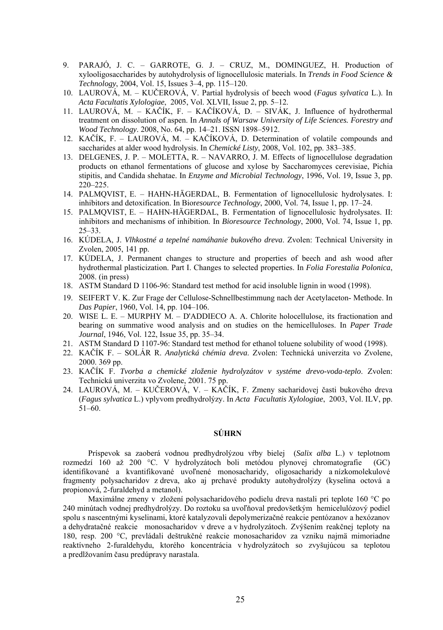- 9. PARAJÓ, J. C. GARROTE, G. J. CRUZ, M., DOMINGUEZ, H. Production of xylooligosaccharides by autohydrolysis of lignocellulosic materials. In *Trends in Food Science & Technology*, 2004, Vol. 15, Issues 3–4, pp. 115–120.
- 10. LAUROVÁ, M. KUČEROVÁ, V. Partial hydrolysis of beech wood (*Fagus sylvatica* L.). In *Acta Facultatis Xylologiae*, 2005, Vol. XLVII, Issue 2, pp. 5–12.
- 11. LAUROVÁ, M. KAČÍK, F. KAČÍKOVÁ, D. SIVÁK, J. Influence of hydrothermal treatment on dissolution of aspen. In *Annals of Warsaw University of Life Sciences. Forestry and Wood Technology*. 2008, No. 64, pp. 14–21. ISSN 1898–5912.
- 12. KAČÍK, F. LAUROVÁ, M. KAČÍKOVÁ, D. Determination of volatile compounds and saccharides at alder wood hydrolysis. In *Chemické Listy*, 2008, Vol. 102, pp. 383–385.
- 13. DELGENES, J. P. MOLETTA, R. NAVARRO, J. M. Effects of lignocellulose degradation products on ethanol fermentations of glucose and xylose by Saccharomyces cerevisiae, Pichia stipitis, and Candida shehatae. In *Enzyme and Microbial Technology*, 1996, Vol. 19, Issue 3, pp.  $220 - 225$
- 14. PALMQVIST, E. HAHN-HÄGERDAL, B. Fermentation of lignocellulosic hydrolysates. I: inhibitors and detoxification. In Bior*esource Technology*, 2000, Vol. 74, Issue 1, pp. 17–24.
- 15. PALMQVIST, E. HAHN-HÄGERDAL, B. Fermentation of lignocellulosic hydrolysates. II: inhibitors and mechanisms of inhibition. In *Bioresource Technology*, 2000, Vol. 74, Issue 1, pp. 25–33.
- 16. KÚDELA, J. *Vlhkostné a tepelné namáhanie bukového dreva*. Zvolen: Technical University in Zvolen, 2005, 141 pp.
- 17. KÚDELA, J. Permanent changes to structure and properties of beech and ash wood after hydrothermal plasticization. Part I. Changes to selected properties. In *Folia Forestalia Polonica*, 2008. (in press)
- 18. ASTM Standard D 1106-96: Standard test method for acid insoluble lignin in wood (1998).
- 19. SEIFERT V. K. Zur Frage der Cellulose-Schnellbestimmung nach der Acetylaceton- Methode. In *Das Papier*, 1960, Vol. 14, pp. 104–106.
- 20. WISE L. E. MURPHY M. D'ADDIECO A. A. Chlorite holocellulose, its fractionation and bearing on summative wood analysis and on studies on the hemicelluloses. In *Paper Trade Journal*, 1946, Vol. 122, Issue 35, pp. 35–34.
- 21. ASTM Standard D 1107-96: Standard test method for ethanol toluene solubility of wood (1998).
- 22. KAČÍK F. SOLÁR R. *Analytická chémia dreva*. Zvolen: Technická univerzita vo Zvolene, 2000. 369 pp.
- 23. KAČÍK F. *Tvorba a chemické zloženie hydrolyzátov v systéme drevo-voda-teplo*. Zvolen: Technická univerzita vo Zvolene, 2001. 75 pp.
- 24. LAUROVÁ, M. KUČEROVÁ, V. KAČÍK, F. Zmeny sacharidovej časti bukového dreva (*Fagus sylvatica* L.) vplyvom predhydrolýzy. In *Acta Facultatis Xylologiae*, 2003, Vol. ILV, pp. 51–60.

## **SÚHRN**

Príspevok sa zaoberá vodnou predhydrolýzou vŕby bielej (*Salix alba* L.) v teplotnom rozmedzí 160 až 200 °C. V hydrolyzátoch boli metódou plynovej chromatografie (GC) identifikované a kvantifikované uvoľnené monosacharidy, oligosacharidy a nízkomolekulové fragmenty polysacharidov z dreva, ako aj prchavé produkty autohydrolýzy (kyselina octová a propionová, 2-furaldehyd a metanol).

Maximálne zmeny v zložení polysacharidového podielu dreva nastali pri teplote 160 °C po 240 minútach vodnej predhydrolýzy. Do roztoku sa uvoľňoval predovšetkým hemicelulózový podiel spolu s nascentnými kyselinami, ktoré katalyzovali depolymerizačné reakcie pentózanov a hexózanov a dehydratačné reakcie monosacharidov v dreve a v hydrolyzátoch. Zvýšením reakčnej teploty na 180, resp. 200 °C, prevládali deštrukčné reakcie monosacharidov za vzniku najmä mimoriadne reaktívneho 2-furaldehydu, ktorého koncentrácia v hydrolyzátoch so zvyšujúcou sa teplotou a predlžovaním času predúpravy narastala.